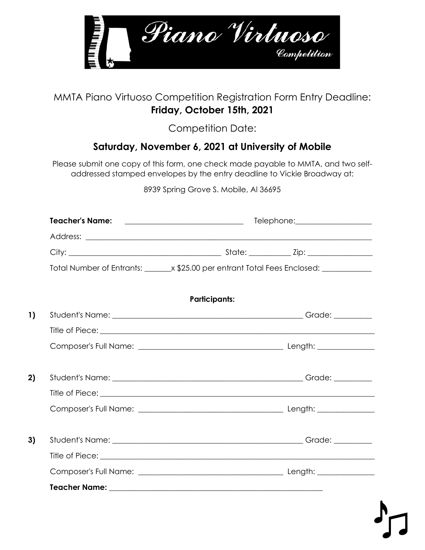

## MMTA Piano Virtuoso Competition Registration Form Entry Deadline: **Friday, October 15th, 2021**

Competition Date:

## **Saturday, November 6, 2021 at University of Mobile**

Please submit one copy of this form, one check made payable to MMTA, and two selfaddressed stamped envelopes by the entry deadline to Vickie Broadway at:

8939 Spring Grove S. Mobile, Al 36695

| Teacher's Name: ________________________________ | Telephone: ____________________                                                          |
|--------------------------------------------------|------------------------------------------------------------------------------------------|
|                                                  |                                                                                          |
|                                                  |                                                                                          |
|                                                  | Total Number of Entrants: ________ x \$25.00 per entrant Total Fees Enclosed: __________ |
|                                                  | <b>Participants:</b>                                                                     |
|                                                  |                                                                                          |
|                                                  |                                                                                          |
|                                                  |                                                                                          |
|                                                  |                                                                                          |
|                                                  |                                                                                          |
|                                                  |                                                                                          |
|                                                  |                                                                                          |
|                                                  |                                                                                          |
|                                                  |                                                                                          |
|                                                  |                                                                                          |
|                                                  |                                                                                          |
|                                                  |                                                                                          |
|                                                  |                                                                                          |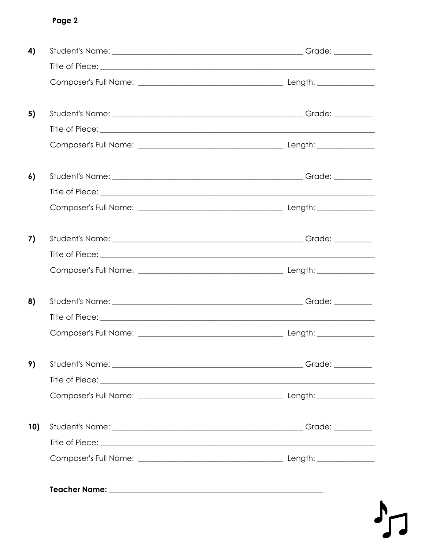## Page 2

| 4)  |  |
|-----|--|
|     |  |
|     |  |
| 5)  |  |
|     |  |
|     |  |
| 6)  |  |
|     |  |
|     |  |
| 7)  |  |
|     |  |
|     |  |
| 8)  |  |
|     |  |
|     |  |
| 9)  |  |
|     |  |
|     |  |
| 10) |  |
|     |  |
|     |  |
|     |  |
|     |  |

 $\mathbf{h}$